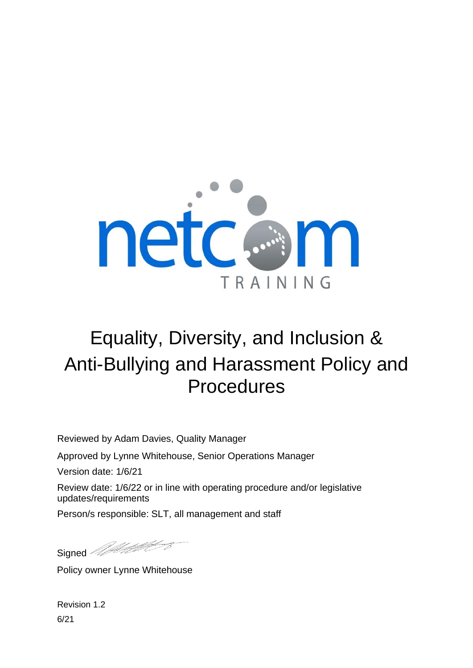

# Equality, Diversity, and Inclusion & Anti-Bullying and Harassment Policy and Procedures

Reviewed by Adam Davies, Quality Manager

Approved by Lynne Whitehouse, Senior Operations Manager

Version date: 1/6/21

Review date: 1/6/22 or in line with operating procedure and/or legislative updates/requirements

Person/s responsible: SLT, all management and staff

Signed *Meltiples* 

Policy owner Lynne Whitehouse

Revision 1.2 6/21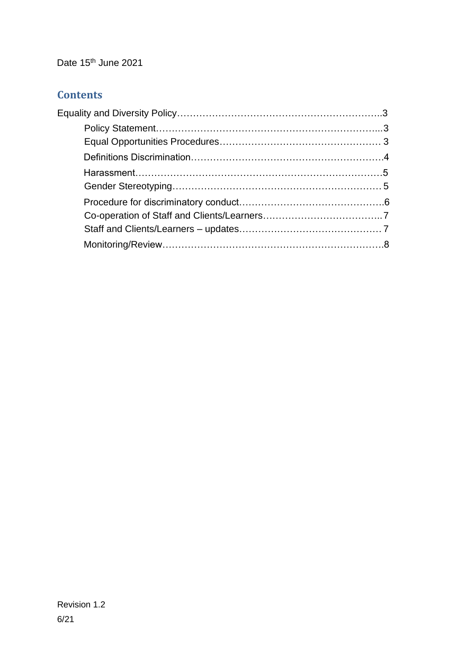Date 15<sup>th</sup> June 2021

# **Contents**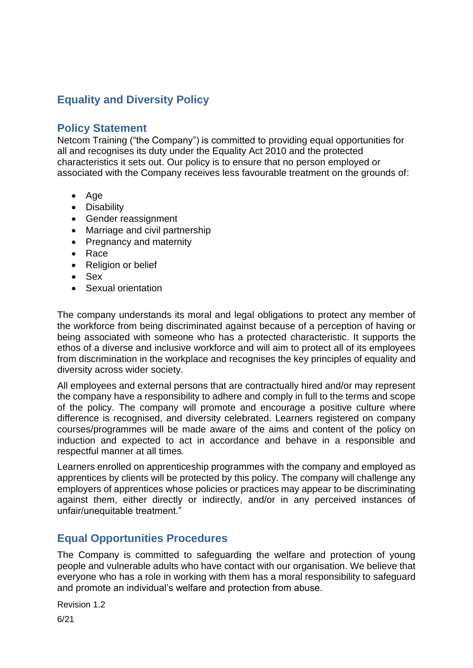# <span id="page-2-0"></span>**Equality and Diversity Policy**

## <span id="page-2-1"></span>**Policy Statement**

Netcom Training ("the Company") is committed to providing equal opportunities for all and recognises its duty under the Equality Act 2010 and the protected characteristics it sets out. Our policy is to ensure that no person employed or associated with the Company receives less favourable treatment on the grounds of:

- Age
- Disability
- Gender reassignment
- Marriage and civil partnership
- Pregnancy and maternity
- Race
- Religion or belief
- Sex
- Sexual orientation

The company understands its moral and legal obligations to protect any member of the workforce from being discriminated against because of a perception of having or being associated with someone who has a protected characteristic. It supports the ethos of a diverse and inclusive workforce and will aim to protect all of its employees from discrimination in the workplace and recognises the key principles of equality and diversity across wider society.

All employees and external persons that are contractually hired and/or may represent the company have a responsibility to adhere and comply in full to the terms and scope of the policy. The company will promote and encourage a positive culture where difference is recognised, and diversity celebrated. Learners registered on company courses/programmes will be made aware of the aims and content of the policy on induction and expected to act in accordance and behave in a responsible and respectful manner at all times.

Learners enrolled on apprenticeship programmes with the company and employed as apprentices by clients will be protected by this policy. The company will challenge any employers of apprentices whose policies or practices may appear to be discriminating against them, either directly or indirectly, and/or in any perceived instances of unfair/unequitable treatment."

# <span id="page-2-2"></span>**Equal Opportunities Procedures**

The Company is committed to safeguarding the welfare and protection of young people and vulnerable adults who have contact with our organisation. We believe that everyone who has a role in working with them has a moral responsibility to safeguard and promote an individual's welfare and protection from abuse.

Revision 1.2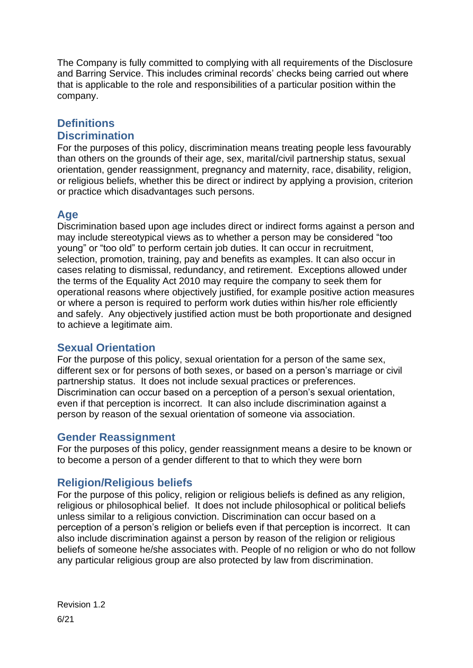The Company is fully committed to complying with all requirements of the Disclosure and Barring Service. This includes criminal records' checks being carried out where that is applicable to the role and responsibilities of a particular position within the company.

#### **Definitions Discrimination**

For the purposes of this policy, discrimination means treating people less favourably than others on the grounds of their age, sex, marital/civil partnership status, sexual orientation, gender reassignment, pregnancy and maternity, race, disability, religion, or religious beliefs, whether this be direct or indirect by applying a provision, criterion or practice which disadvantages such persons.

## **Age**

Discrimination based upon age includes direct or indirect forms against a person and may include stereotypical views as to whether a person may be considered "too young" or "too old" to perform certain job duties. It can occur in recruitment, selection, promotion, training, pay and benefits as examples. It can also occur in cases relating to dismissal, redundancy, and retirement. Exceptions allowed under the terms of the Equality Act 2010 may require the company to seek them for operational reasons where objectively justified, for example positive action measures or where a person is required to perform work duties within his/her role efficiently and safely. Any objectively justified action must be both proportionate and designed to achieve a legitimate aim.

## **Sexual Orientation**

For the purpose of this policy, sexual orientation for a person of the same sex, different sex or for persons of both sexes, or based on a person's marriage or civil partnership status. It does not include sexual practices or preferences. Discrimination can occur based on a perception of a person's sexual orientation, even if that perception is incorrect. It can also include discrimination against a person by reason of the sexual orientation of someone via association.

#### **Gender Reassignment**

For the purposes of this policy, gender reassignment means a desire to be known or to become a person of a gender different to that to which they were born

## **Religion/Religious beliefs**

For the purpose of this policy, religion or religious beliefs is defined as any religion, religious or philosophical belief. It does not include philosophical or political beliefs unless similar to a religious conviction. Discrimination can occur based on a perception of a person's religion or beliefs even if that perception is incorrect. It can also include discrimination against a person by reason of the religion or religious beliefs of someone he/she associates with. People of no religion or who do not follow any particular religious group are also protected by law from discrimination.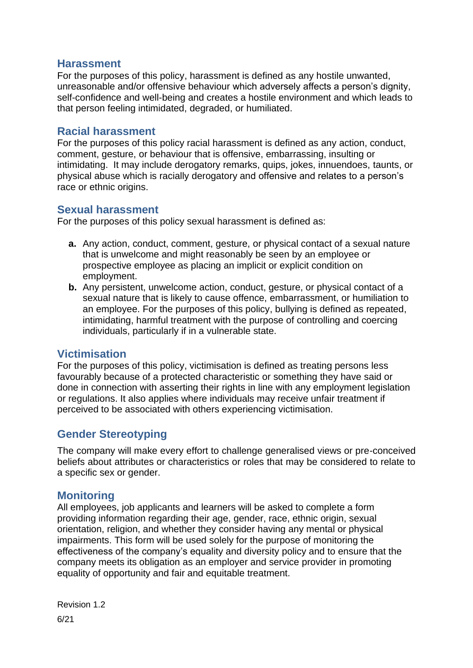## **Harassment**

For the purposes of this policy, harassment is defined as any hostile unwanted, unreasonable and/or offensive behaviour which adversely affects a person's dignity, self-confidence and well-being and creates a hostile environment and which leads to that person feeling intimidated, degraded, or humiliated.

## **Racial harassment**

For the purposes of this policy racial harassment is defined as any action, conduct, comment, gesture, or behaviour that is offensive, embarrassing, insulting or intimidating. It may include derogatory remarks, quips, jokes, innuendoes, taunts, or physical abuse which is racially derogatory and offensive and relates to a person's race or ethnic origins.

#### **Sexual harassment**

For the purposes of this policy sexual harassment is defined as:

- **a.** Any action, conduct, comment, gesture, or physical contact of a sexual nature that is unwelcome and might reasonably be seen by an employee or prospective employee as placing an implicit or explicit condition on employment.
- **b.** Any persistent, unwelcome action, conduct, gesture, or physical contact of a sexual nature that is likely to cause offence, embarrassment, or humiliation to an employee. For the purposes of this policy, bullying is defined as repeated, intimidating, harmful treatment with the purpose of controlling and coercing individuals, particularly if in a vulnerable state.

## **Victimisation**

For the purposes of this policy, victimisation is defined as treating persons less favourably because of a protected characteristic or something they have said or done in connection with asserting their rights in line with any employment legislation or regulations. It also applies where individuals may receive unfair treatment if perceived to be associated with others experiencing victimisation.

# <span id="page-4-0"></span>**Gender Stereotyping**

The company will make every effort to challenge generalised views or pre-conceived beliefs about attributes or characteristics or roles that may be considered to relate to a specific sex or gender.

## **Monitoring**

All employees, job applicants and learners will be asked to complete a form providing information regarding their age, gender, race, ethnic origin, sexual orientation, religion, and whether they consider having any mental or physical impairments. This form will be used solely for the purpose of monitoring the effectiveness of the company's equality and diversity policy and to ensure that the company meets its obligation as an employer and service provider in promoting equality of opportunity and fair and equitable treatment.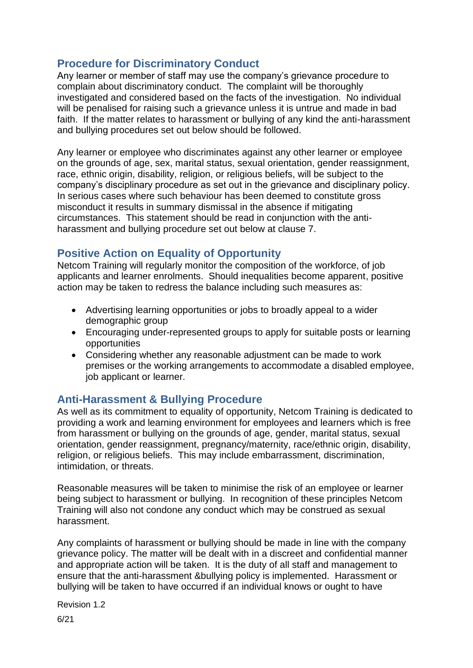# **Procedure for Discriminatory Conduct**

Any learner or member of staff may use the company's grievance procedure to complain about discriminatory conduct. The complaint will be thoroughly investigated and considered based on the facts of the investigation. No individual will be penalised for raising such a grievance unless it is untrue and made in bad faith. If the matter relates to harassment or bullying of any kind the anti-harassment and bullying procedures set out below should be followed.

Any learner or employee who discriminates against any other learner or employee on the grounds of age, sex, marital status, sexual orientation, gender reassignment, race, ethnic origin, disability, religion, or religious beliefs, will be subject to the company's disciplinary procedure as set out in the grievance and disciplinary policy. In serious cases where such behaviour has been deemed to constitute gross misconduct it results in summary dismissal in the absence if mitigating circumstances. This statement should be read in conjunction with the antiharassment and bullying procedure set out below at clause 7.

# **Positive Action on Equality of Opportunity**

Netcom Training will regularly monitor the composition of the workforce, of job applicants and learner enrolments. Should inequalities become apparent, positive action may be taken to redress the balance including such measures as:

- Advertising learning opportunities or jobs to broadly appeal to a wider demographic group
- Encouraging under-represented groups to apply for suitable posts or learning opportunities
- Considering whether any reasonable adjustment can be made to work premises or the working arrangements to accommodate a disabled employee, job applicant or learner.

# **Anti-Harassment & Bullying Procedure**

As well as its commitment to equality of opportunity, Netcom Training is dedicated to providing a work and learning environment for employees and learners which is free from harassment or bullying on the grounds of age, gender, marital status, sexual orientation, gender reassignment, pregnancy/maternity, race/ethnic origin, disability, religion, or religious beliefs. This may include embarrassment, discrimination, intimidation, or threats.

Reasonable measures will be taken to minimise the risk of an employee or learner being subject to harassment or bullying. In recognition of these principles Netcom Training will also not condone any conduct which may be construed as sexual harassment.

Any complaints of harassment or bullying should be made in line with the company grievance policy. The matter will be dealt with in a discreet and confidential manner and appropriate action will be taken. It is the duty of all staff and management to ensure that the anti-harassment &bullying policy is implemented. Harassment or bullying will be taken to have occurred if an individual knows or ought to have

Revision 1.2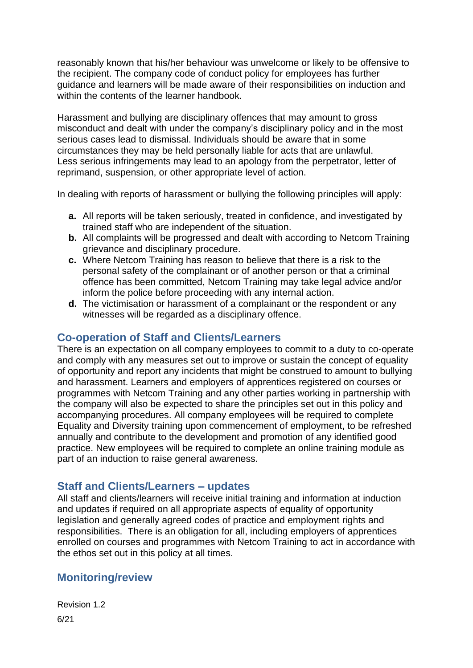reasonably known that his/her behaviour was unwelcome or likely to be offensive to the recipient. The company code of conduct policy for employees has further guidance and learners will be made aware of their responsibilities on induction and within the contents of the learner handbook.

Harassment and bullying are disciplinary offences that may amount to gross misconduct and dealt with under the company's disciplinary policy and in the most serious cases lead to dismissal. Individuals should be aware that in some circumstances they may be held personally liable for acts that are unlawful. Less serious infringements may lead to an apology from the perpetrator, letter of reprimand, suspension, or other appropriate level of action.

In dealing with reports of harassment or bullying the following principles will apply:

- **a.** All reports will be taken seriously, treated in confidence, and investigated by trained staff who are independent of the situation.
- **b.** All complaints will be progressed and dealt with according to Netcom Training grievance and disciplinary procedure.
- **c.** Where Netcom Training has reason to believe that there is a risk to the personal safety of the complainant or of another person or that a criminal offence has been committed, Netcom Training may take legal advice and/or inform the police before proceeding with any internal action.
- **d.** The victimisation or harassment of a complainant or the respondent or any witnesses will be regarded as a disciplinary offence.

## <span id="page-6-0"></span>**Co-operation of Staff and Clients/Learners**

There is an expectation on all company employees to commit to a duty to co-operate and comply with any measures set out to improve or sustain the concept of equality of opportunity and report any incidents that might be construed to amount to bullying and harassment. Learners and employers of apprentices registered on courses or programmes with Netcom Training and any other parties working in partnership with the company will also be expected to share the principles set out in this policy and accompanying procedures. All company employees will be required to complete Equality and Diversity training upon commencement of employment, to be refreshed annually and contribute to the development and promotion of any identified good practice. New employees will be required to complete an online training module as part of an induction to raise general awareness.

## <span id="page-6-1"></span>**Staff and Clients/Learners – updates**

All staff and clients/learners will receive initial training and information at induction and updates if required on all appropriate aspects of equality of opportunity legislation and generally agreed codes of practice and employment rights and responsibilities. There is an obligation for all, including employers of apprentices enrolled on courses and programmes with Netcom Training to act in accordance with the ethos set out in this policy at all times.

# **Monitoring/review**

Revision 1.2 6/21